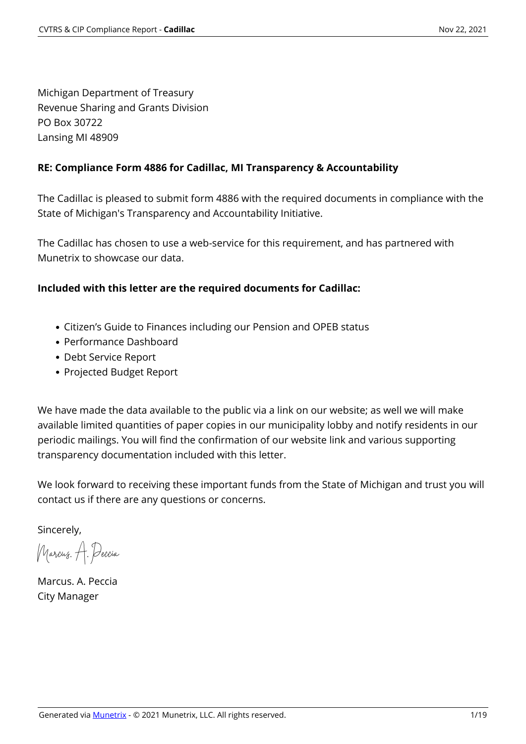Michigan Department of Treasury Revenue Sharing and Grants Division PO Box 30722 Lansing MI 48909

### **RE: Compliance Form 4886 for Cadillac, MI Transparency & Accountability**

The Cadillac is pleased to submit form 4886 with the required documents in compliance with the State of Michigan's Transparency and Accountability Initiative.

The Cadillac has chosen to use a web-service for this requirement, and has partnered with Munetrix to showcase our data.

### **Included with this letter are the required documents for Cadillac:**

- Citizen's Guide to Finances including our Pension and OPEB status
- Performance Dashboard
- Debt Service Report
- Projected Budget Report

We have made the data available to the public via a link on our website; as well we will make available limited quantities of paper copies in our municipality lobby and notify residents in our periodic mailings. You will find the confirmation of our website link and various supporting transparency documentation included with this letter.

We look forward to receiving these important funds from the State of Michigan and trust you will contact us if there are any questions or concerns.

Sincerely,

Marcus. A. Peccia

Marcus. A. Peccia City Manager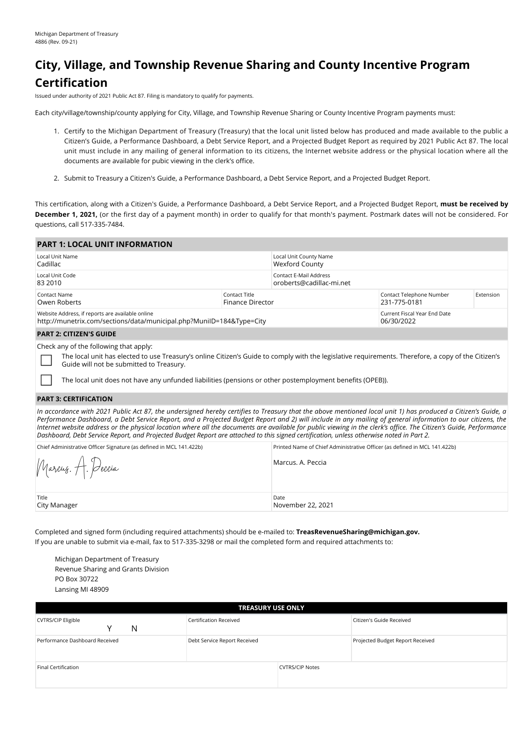# **City, Village, and Township Revenue Sharing and County Incentive Program Certification**

Issued under authority of 2021 Public Act 87. Filing is mandatory to qualify for payments.

Each city/village/township/county applying for City, Village, and Township Revenue Sharing or County Incentive Program payments must:

- 1. Certify to the Michigan Department of Treasury (Treasury) that the local unit listed below has produced and made available to the public a Citizen's Guide, a Performance Dashboard, a Debt Service Report, and a Projected Budget Report as required by 2021 Public Act 87. The local unit must include in any mailing of general information to its citizens, the Internet website address or the physical location where all the documents are available for pubic viewing in the clerk's office.
- 2. Submit to Treasury a Citizen's Guide, a Performance Dashboard, a Debt Service Report, and a Projected Budget Report.

This certification, along with a Citizen's Guide, a Performance Dashboard, a Debt Service Report, and a Projected Budget Report, **must be received by December 1, 2021,** (or the first day of a payment month) in order to qualify for that month's payment. Postmark dates will not be considered. For questions, call 517-335-7484.

| <b>PART 1: LOCAL UNIT INFORMATION</b>                                                                                    |                                   |                                                    |                                            |           |  |
|--------------------------------------------------------------------------------------------------------------------------|-----------------------------------|----------------------------------------------------|--------------------------------------------|-----------|--|
| Local Unit Name<br>Cadillac                                                                                              |                                   | Local Unit County Name<br>Wexford County           |                                            |           |  |
| Local Unit Code<br>83 2010                                                                                               |                                   | Contact E-Mail Address<br>oroberts@cadillac-mi.net |                                            |           |  |
| Contact Name<br>Owen Roberts                                                                                             | Contact Title<br>Finance Director |                                                    | Contact Telephone Number<br>231-775-0181   | Extension |  |
| Website Address, if reports are available online<br>http://munetrix.com/sections/data/municipal.php?MunilD=184&Type=City |                                   |                                                    | Current Fiscal Year End Date<br>06/30/2022 |           |  |
| <b>PART 2: CITIZEN'S GUIDE</b>                                                                                           |                                   |                                                    |                                            |           |  |
| Check any of the following that apply:                                                                                   |                                   |                                                    |                                            |           |  |

The local unit has elected to use Treasury's online Citizen's Guide to comply with the legislative requirements. Therefore, a copy of the Citizen's Guide will not be submitted to Treasury.

The local unit does not have any unfunded liabilities (pensions or other postemployment benefits (OPEB)).

#### **PART 3: CERTIFICATION**

*In accordance with 2021 Public Act 87, the undersigned hereby certifies to Treasury that the above mentioned local unit 1) has produced a Citizen's Guide, a Performance Dashboard, a Debt Service Report, and a Projected Budget Report and 2) will include in any mailing of general information to our citizens, the Internet website address or the physical location where all the documents are available for public viewing in the clerk's office. The Citizen's Guide, Performance Dashboard, Debt Service Report, and Projected Budget Report are attached to this signed certification, unless otherwise noted in Part 2.*

| Chief Administrative Officer Signature (as defined in MCL 141.422b) | Printed Name of Chief Administrative Officer (as defined in MCL 141.422b) |
|---------------------------------------------------------------------|---------------------------------------------------------------------------|
| Marcus. A. Deccia                                                   | Marcus, A. Peccia                                                         |
| Title<br>City Manager                                               | Date<br>November 22, 2021                                                 |

Completed and signed form (including required attachments) should be e-mailed to: **TreasRevenueSharing@michigan.gov.** If you are unable to submit via e-mail, fax to 517-335-3298 or mail the completed form and required attachments to:

Michigan Department of Treasury Revenue Sharing and Grants Division PO Box 30722 Lansing MI 48909

| <b>TREASURY USE ONLY</b>            |                              |                        |                                  |  |  |  |  |
|-------------------------------------|------------------------------|------------------------|----------------------------------|--|--|--|--|
| <b>CVTRS/CIP Eligible</b><br>N<br>v | Certification Received       |                        | Citizen's Guide Received         |  |  |  |  |
| Performance Dashboard Received      | Debt Service Report Received |                        | Projected Budget Report Received |  |  |  |  |
| Final Certification                 |                              | <b>CVTRS/CIP Notes</b> |                                  |  |  |  |  |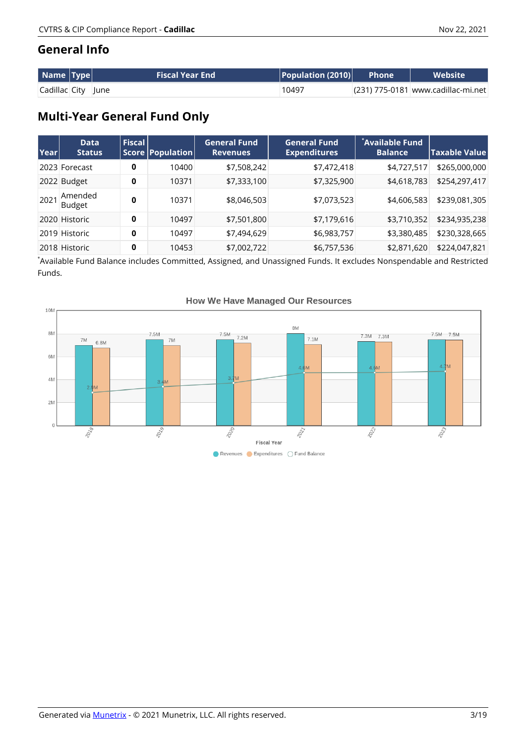### **General Info**

| Name  Type         | <b>Fiscal Year End</b> | $\mid$ Population (2010) $\mid$ | L Phone <b>\</b> | <b>Website</b>                       |
|--------------------|------------------------|---------------------------------|------------------|--------------------------------------|
| Cadillac City June |                        | 10497                           |                  | $(231)$ 775-0181 www.cadillac-mi.net |

# **Multi-Year General Fund Only**

| Year | <b>Data</b><br><b>Status</b> | $ $ Fiscal $ $ | Score Population | <b>General Fund</b><br><b>Revenues</b> | <b>General Fund</b><br><b>Expenditures</b> | *Available Fund<br><b>Balance</b> | $ \mathsf{Taxable}$ Value $ $ |
|------|------------------------------|----------------|------------------|----------------------------------------|--------------------------------------------|-----------------------------------|-------------------------------|
|      | 2023 Forecast                | 0              | 10400            | \$7,508,242                            | \$7,472,418                                | \$4,727,517                       | \$265,000,000                 |
|      | 2022 Budget                  | 0              | 10371            | \$7,333,100                            | \$7,325,900                                | \$4,618,783                       | \$254,297,417                 |
| 202' | Amended<br><b>Budget</b>     | 0              | 10371            | \$8,046,503                            | \$7,073,523                                | \$4,606,583                       | \$239,081,305                 |
|      | 2020 Historic                | 0              | 10497            | \$7,501,800                            | \$7,179,616                                | \$3,710,352                       | \$234,935,238                 |
|      | 2019 Historic                | 0              | 10497            | \$7,494,629                            | \$6,983,757                                | \$3,380,485                       | \$230,328,665                 |
|      | 2018 Historic                | 0              | 10453            | \$7,002,722                            | \$6,757,536                                | \$2,871,620                       | \$224,047,821                 |

\* Available Fund Balance includes Committed, Assigned, and Unassigned Funds. It excludes Nonspendable and Restricted Funds.



#### **How We Have Managed Our Resources**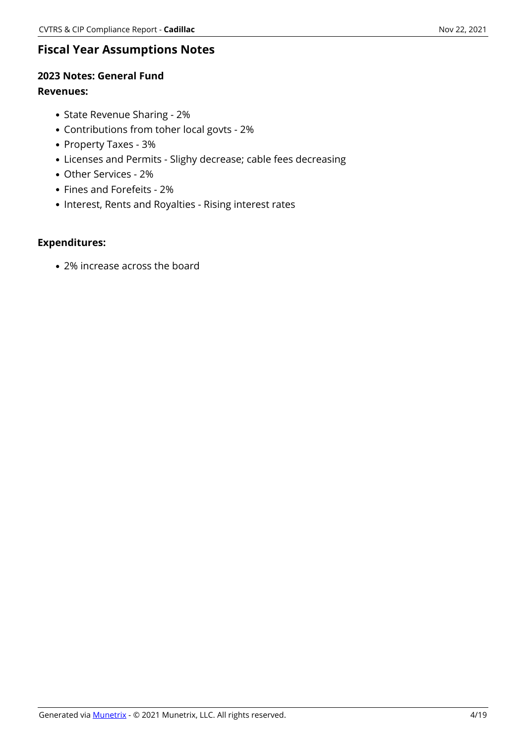### **Fiscal Year Assumptions Notes**

### **2023 Notes: General Fund**

#### **Revenues:**

- State Revenue Sharing 2%
- Contributions from toher local govts 2%
- Property Taxes 3%
- Licenses and Permits Slighy decrease; cable fees decreasing
- Other Services 2%
- Fines and Forefeits 2%
- Interest, Rents and Royalties Rising interest rates

### **Expenditures:**

2% increase across the board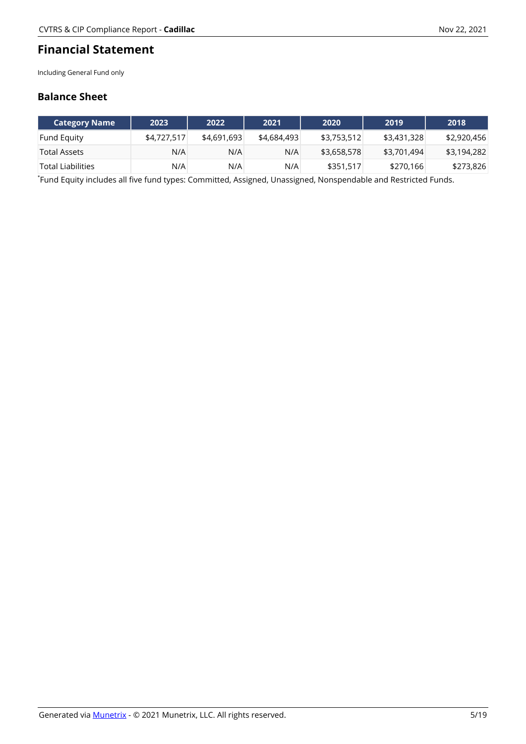### **Financial Statement**

Including General Fund only

### **Balance Sheet**

| Category Name '          | 2023        | 2022        | 2021        | 2020        | 2019        | 2018        |
|--------------------------|-------------|-------------|-------------|-------------|-------------|-------------|
| <b>Fund Equity</b>       | \$4,727,517 | \$4,691,693 | \$4,684,493 | \$3,753,512 | \$3,431,328 | \$2,920,456 |
| Total Assets             | N/A         | N/A         | N/A         | \$3,658,578 | \$3,701,494 | \$3,194,282 |
| <b>Total Liabilities</b> | N/A         | N/A         | N/A         | \$351,517   | \$270,166   | \$273,826   |

\* Fund Equity includes all five fund types: Committed, Assigned, Unassigned, Nonspendable and Restricted Funds.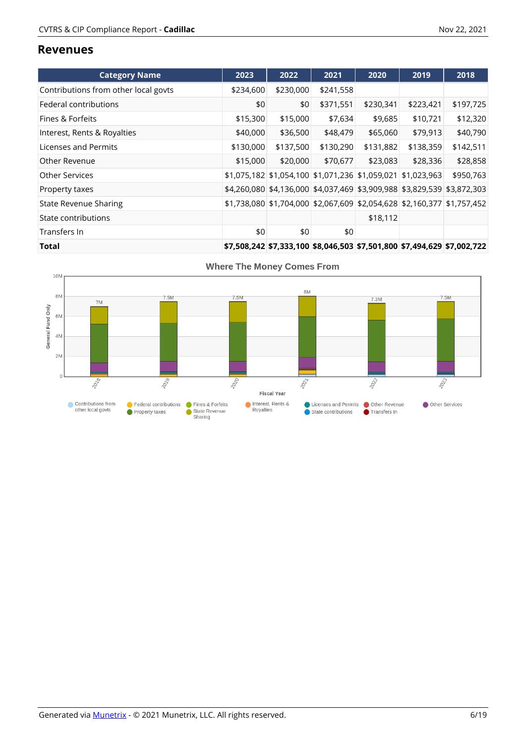#### **Revenues**

| <b>Category Name</b>                 | 2023      | 2022                                                                    | 2021      | 2020      | 2019      | 2018                                                                    |
|--------------------------------------|-----------|-------------------------------------------------------------------------|-----------|-----------|-----------|-------------------------------------------------------------------------|
| Contributions from other local govts | \$234,600 | \$230,000                                                               | \$241,558 |           |           |                                                                         |
| Federal contributions                | \$0       | \$0                                                                     | \$371,551 | \$230,341 | \$223,421 | \$197,725                                                               |
| Fines & Forfeits                     | \$15,300  | \$15,000                                                                | \$7,634   | \$9,685   | \$10,721  | \$12,320                                                                |
| Interest, Rents & Royalties          | \$40,000  | \$36,500                                                                | \$48,479  | \$65,060  | \$79,913  | \$40,790                                                                |
| Licenses and Permits                 | \$130,000 | \$137,500                                                               | \$130,290 | \$131,882 | \$138,359 | \$142,511                                                               |
| Other Revenue                        | \$15,000  | \$20,000                                                                | \$70,677  | \$23,083  | \$28,336  | \$28,858                                                                |
| <b>Other Services</b>                |           | \$1,075,182 \$1,054,100 \$1,071,236 \$1,059,021 \$1,023,963             |           |           |           | \$950,763                                                               |
| Property taxes                       |           | \$4,260,080 \$4,136,000 \$4,037,469 \$3,909,988 \$3,829,539 \$3,872,303 |           |           |           |                                                                         |
| <b>State Revenue Sharing</b>         |           | \$1,738,080 \$1,704,000 \$2,067,609 \$2,054,628 \$2,160,377 \$1,757,452 |           |           |           |                                                                         |
| State contributions                  |           |                                                                         |           | \$18,112  |           |                                                                         |
| Transfers In                         | \$0       | \$0                                                                     | \$0       |           |           |                                                                         |
| Total                                |           |                                                                         |           |           |           | \$7,508,242 \$7,333,100 \$8,046,503 \$7,501,800 \$7,494,629 \$7,002,722 |



**Where The Money Comes From**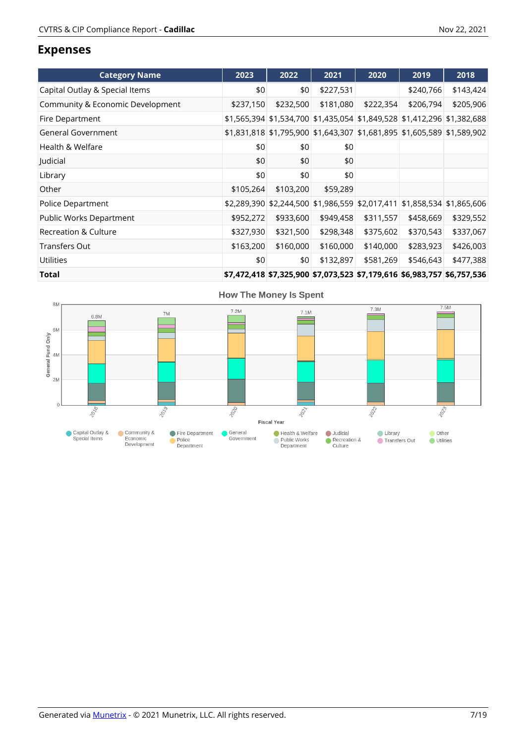### **Expenses**

| <b>Category Name</b>             | 2023      | 2022                                                                    | 2021      | 2020      | 2019      | 2018      |
|----------------------------------|-----------|-------------------------------------------------------------------------|-----------|-----------|-----------|-----------|
| Capital Outlay & Special Items   | \$0       | \$0                                                                     | \$227,531 |           | \$240,766 | \$143,424 |
| Community & Economic Development | \$237,150 | \$232,500                                                               | \$181,080 | \$222,354 | \$206,794 | \$205,906 |
| Fire Department                  |           | \$1,565,394 \$1,534,700 \$1,435,054 \$1,849,528 \$1,412,296 \$1,382,688 |           |           |           |           |
| General Government               |           | \$1,831,818 \$1,795,900 \$1,643,307 \$1,681,895 \$1,605,589 \$1,589,902 |           |           |           |           |
| Health & Welfare                 | \$0       | \$0                                                                     | \$0       |           |           |           |
| Judicial                         | \$0       | \$0                                                                     | \$0       |           |           |           |
| Library                          | \$0       | \$0                                                                     | \$0       |           |           |           |
| Other                            | \$105,264 | \$103,200                                                               | \$59,289  |           |           |           |
| Police Department                |           | \$2,289,390 \$2,244,500 \$1,986,559 \$2,017,411 \$1,858,534 \$1,865,606 |           |           |           |           |
| Public Works Department          | \$952,272 | \$933,600                                                               | \$949,458 | \$311,557 | \$458,669 | \$329,552 |
| Recreation & Culture             | \$327,930 | \$321,500                                                               | \$298,348 | \$375,602 | \$370,543 | \$337,067 |
| <b>Transfers Out</b>             | \$163,200 | \$160,000                                                               | \$160,000 | \$140,000 | \$283,923 | \$426,003 |
| <b>Utilities</b>                 | \$0       | \$0                                                                     | \$132,897 | \$581,269 | \$546,643 | \$477,388 |
| Total                            |           | \$7,472,418 \$7,325,900 \$7,073,523 \$7,179,616 \$6,983,757 \$6,757,536 |           |           |           |           |

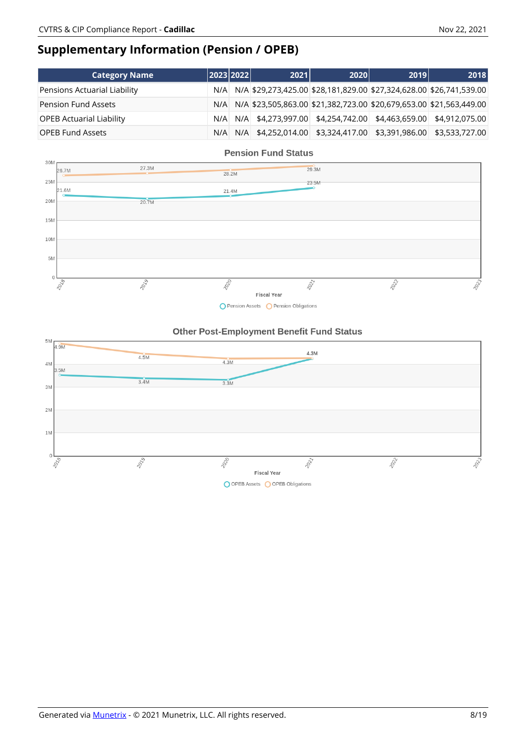# **Supplementary Information (Pension / OPEB)**

| <b>Category Name</b>            |     | 2023 2022 | 2021 | 2020 | 2019                                                                | 2018 |
|---------------------------------|-----|-----------|------|------|---------------------------------------------------------------------|------|
| Pensions Actuarial Liability    | N/A |           |      |      | N/A \$29,273,425.00 \$28,181,829.00 \$27,324,628.00 \$26,741,539.00 |      |
| <b>Pension Fund Assets</b>      | N/A |           |      |      | N/A \$23,505,863.00 \$21,382,723.00 \$20,679,653.00 \$21,563,449.00 |      |
| <b>OPEB Actuarial Liability</b> | N/A |           |      |      | N/A \$4,273,997.00 \$4,254,742.00 \$4,463,659.00 \$4,912,075.00     |      |
| <b>OPEB Fund Assets</b>         | N/A |           |      |      | N/A \$4,252,014.00 \$3,324,417.00 \$3,391,986.00 \$3,533,727.00     |      |



#### O Pension Assets O Pension Obligations

#### Other Post-Employment Benefit Fund Status

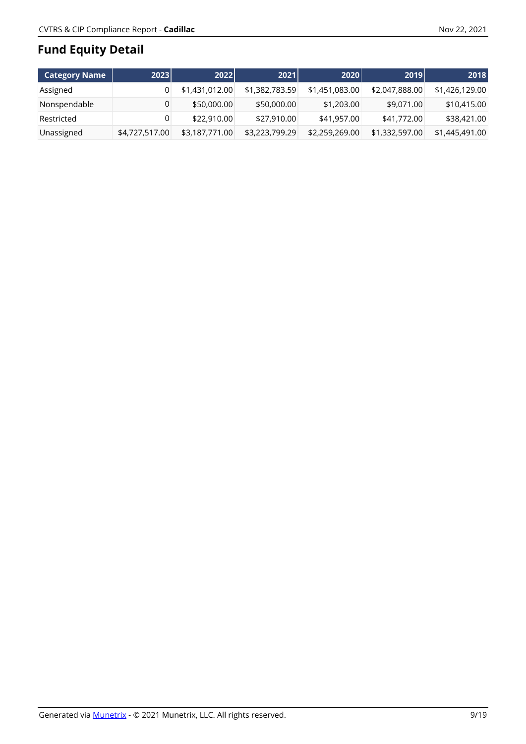# **Fund Equity Detail**

| Category Name | 2023           | 2022           | 2021           | 2020           | 2019           | 2018           |
|---------------|----------------|----------------|----------------|----------------|----------------|----------------|
| Assigned      |                | \$1,431,012.00 | \$1,382,783.59 | \$1,451,083.00 | \$2,047,888.00 | \$1,426,129.00 |
| Nonspendable  |                | \$50,000.00    | \$50,000.00    | \$1,203.00     | \$9,071.00     | \$10,415.00    |
| Restricted    |                | \$22,910.00    | \$27,910.00    | \$41,957.00    | \$41,772.00    | \$38,421.00    |
| Unassigned    | \$4,727,517.00 | \$3,187,771.00 | \$3,223,799.29 | \$2,259,269.00 | \$1,332,597.00 | \$1,445,491.00 |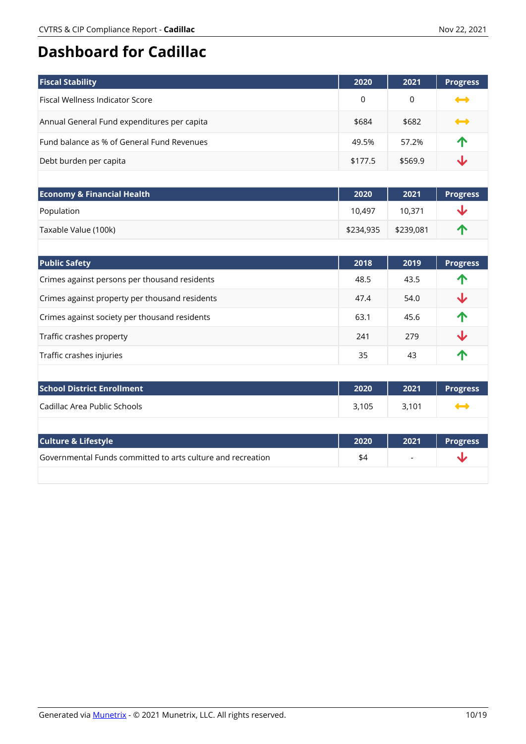# **Dashboard for Cadillac**

| <b>Fiscal Stability</b>                     | 2020    | 2021    | <b>Progress</b>   |
|---------------------------------------------|---------|---------|-------------------|
| <b>Fiscal Wellness Indicator Score</b>      | 0       | 0       | $\rightarrow$     |
| Annual General Fund expenditures per capita | \$684   | \$682   | $\rightarrow$     |
| Fund balance as % of General Fund Revenues  | 49.5%   | 57.2%   | $\mathbf \Lambda$ |
| Debt burden per capita                      | \$177.5 | \$569.9 | J                 |

| <b>Economy &amp; Financial Health</b> | 2020      | 2021      | <b>Progress</b> |
|---------------------------------------|-----------|-----------|-----------------|
| Population                            | 10.497    | 10.371    |                 |
| Taxable Value (100k)                  | \$234,935 | \$239,081 | Л               |

| <b>Public Safety</b>                           | 2018 | 2019 | <b>Progress</b>         |
|------------------------------------------------|------|------|-------------------------|
| Crimes against persons per thousand residents  | 48.5 | 43.5 | 个                       |
| Crimes against property per thousand residents | 47.4 | 54.0 | $\overline{\mathbf{v}}$ |
| Crimes against society per thousand residents  | 63.1 | 45.6 | 个                       |
| Traffic crashes property                       | 241  | 279  | ↓                       |
| Traffic crashes injuries                       | 35   | 43   | $\blacktriangle$        |

| <b>School District Enrollment</b> | 2020  | 2021  | <b>Progress</b> |
|-----------------------------------|-------|-------|-----------------|
| Cadillac Area Public Schools      | 3.105 | 3.101 |                 |

| <b>Culture &amp; Lifestyle</b>                              | 2020 | 2021                     | <b>Progress</b> |
|-------------------------------------------------------------|------|--------------------------|-----------------|
| Governmental Funds committed to arts culture and recreation | \$4  | $\overline{\phantom{0}}$ |                 |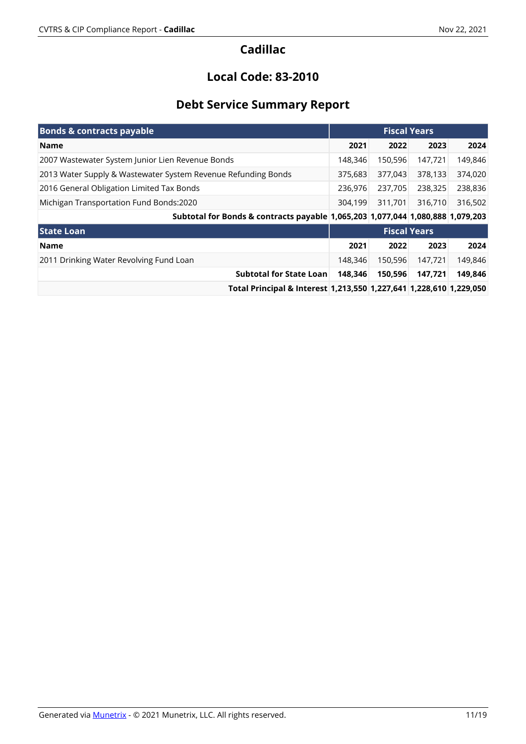### **Local Code: 83-2010**

# **Debt Service Summary Report**

| <b>Bonds &amp; contracts payable</b>                                           | <b>Fiscal Years</b> |         |                     |         |
|--------------------------------------------------------------------------------|---------------------|---------|---------------------|---------|
| <b>Name</b>                                                                    | 2021                | 2022    | 2023                | 2024    |
| 2007 Wastewater System Junior Lien Revenue Bonds                               | 148.346             | 150,596 | 147,721             | 149,846 |
| 2013 Water Supply & Wastewater System Revenue Refunding Bonds                  | 375,683             | 377,043 | 378,133             | 374,020 |
| 2016 General Obligation Limited Tax Bonds                                      | 236,976             | 237,705 | 238,325             | 238,836 |
| Michigan Transportation Fund Bonds:2020                                        | 304,199             | 311,701 | 316,710             | 316,502 |
| Subtotal for Bonds & contracts payable 1,065,203 1,077,044 1,080,888 1,079,203 |                     |         |                     |         |
| <b>State Loan</b>                                                              |                     |         | <b>Fiscal Years</b> |         |
| <b>Name</b>                                                                    | 2021                | 2022    | 2023                | 2024    |
| 2011 Drinking Water Revolving Fund Loan                                        | 148,346             | 150,596 | 147.721             | 149,846 |
| <b>Subtotal for State Loan</b>                                                 | 148.346             | 150,596 | 147.721             | 149,846 |
| Total Principal & Interest 1,213,550 1,227,641 1,228,610 1,229,050             |                     |         |                     |         |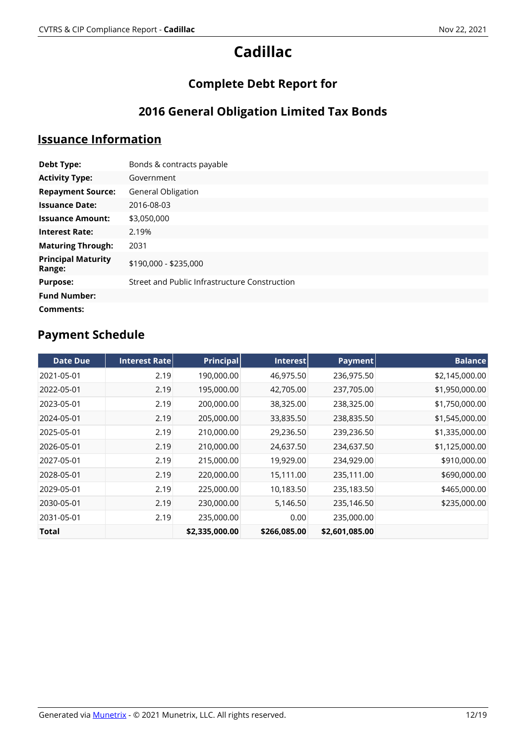# **Complete Debt Report for**

# **2016 General Obligation Limited Tax Bonds**

# **Issuance Information**

| Debt Type:                          | Bonds & contracts payable                     |
|-------------------------------------|-----------------------------------------------|
| <b>Activity Type:</b>               | Government                                    |
| <b>Repayment Source:</b>            | General Obligation                            |
| <b>Issuance Date:</b>               | 2016-08-03                                    |
| <b>Issuance Amount:</b>             | \$3,050,000                                   |
| <b>Interest Rate:</b>               | 2.19%                                         |
| <b>Maturing Through:</b>            | 2031                                          |
| <b>Principal Maturity</b><br>Range: | \$190,000 - \$235,000                         |
| <b>Purpose:</b>                     | Street and Public Infrastructure Construction |
| <b>Fund Number:</b>                 |                                               |
| Comments:                           |                                               |

| <b>Date Due</b> | <b>Interest Ratel</b> | <b>Principal</b> | Interest     | Payment        | <b>Balance</b> |
|-----------------|-----------------------|------------------|--------------|----------------|----------------|
| 2021-05-01      | 2.19                  | 190,000.00       | 46,975.50    | 236,975.50     | \$2,145,000.00 |
| 2022-05-01      | 2.19                  | 195,000.00       | 42,705.00    | 237,705.00     | \$1,950,000.00 |
| 2023-05-01      | 2.19                  | 200,000.00       | 38,325.00    | 238,325.00     | \$1,750,000.00 |
| 2024-05-01      | 2.19                  | 205,000.00       | 33,835.50    | 238,835.50     | \$1,545,000.00 |
| 2025-05-01      | 2.19                  | 210,000.00       | 29,236.50    | 239,236.50     | \$1,335,000.00 |
| 2026-05-01      | 2.19                  | 210,000.00       | 24,637.50    | 234,637.50     | \$1,125,000.00 |
| 2027-05-01      | 2.19                  | 215,000.00       | 19,929.00    | 234,929.00     | \$910,000.00   |
| 2028-05-01      | 2.19                  | 220,000.00       | 15,111.00    | 235,111.00     | \$690,000.00   |
| 2029-05-01      | 2.19                  | 225,000.00       | 10,183.50    | 235,183.50     | \$465,000.00   |
| 2030-05-01      | 2.19                  | 230,000.00       | 5,146.50     | 235,146.50     | \$235,000.00   |
| 2031-05-01      | 2.19                  | 235,000.00       | 0.00         | 235,000.00     |                |
| Total           |                       | \$2,335,000.00   | \$266,085.00 | \$2,601,085.00 |                |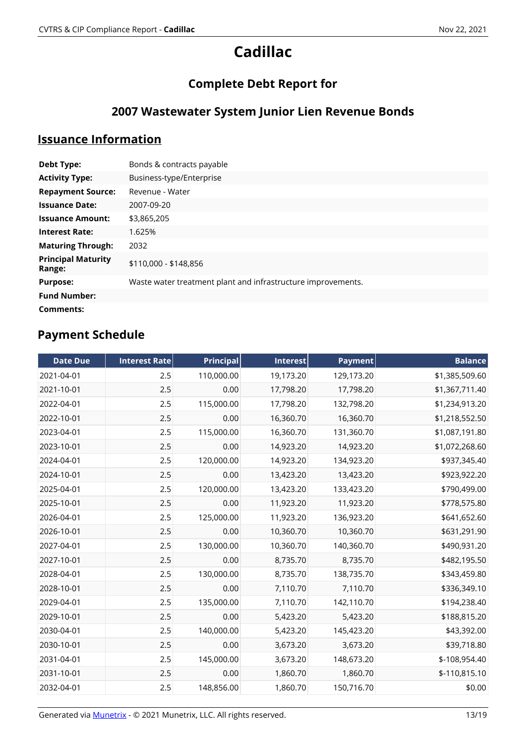# **Complete Debt Report for**

# **2007 Wastewater System Junior Lien Revenue Bonds**

### **Issuance Information**

| <b>Debt Type:</b>                   | Bonds & contracts payable                                    |
|-------------------------------------|--------------------------------------------------------------|
| <b>Activity Type:</b>               | Business-type/Enterprise                                     |
| <b>Repayment Source:</b>            | Revenue - Water                                              |
| <b>Issuance Date:</b>               | 2007-09-20                                                   |
| <b>Issuance Amount:</b>             | \$3,865,205                                                  |
| <b>Interest Rate:</b>               | 1.625%                                                       |
| <b>Maturing Through:</b>            | 2032                                                         |
| <b>Principal Maturity</b><br>Range: | \$110,000 - \$148,856                                        |
| <b>Purpose:</b>                     | Waste water treatment plant and infrastructure improvements. |
| <b>Fund Number:</b>                 |                                                              |
| Comments:                           |                                                              |

| <b>Date Due</b> | <b>Interest Rate</b> | <b>Principal</b> | Interest  | <b>Payment</b> | <b>Balance</b> |
|-----------------|----------------------|------------------|-----------|----------------|----------------|
| 2021-04-01      | 2.5                  | 110,000.00       | 19,173.20 | 129,173.20     | \$1,385,509.60 |
| 2021-10-01      | 2.5                  | 0.00             | 17,798.20 | 17,798.20      | \$1,367,711.40 |
| 2022-04-01      | 2.5                  | 115,000.00       | 17,798.20 | 132,798.20     | \$1,234,913.20 |
| 2022-10-01      | 2.5                  | 0.00             | 16,360.70 | 16,360.70      | \$1,218,552.50 |
| 2023-04-01      | 2.5                  | 115,000.00       | 16,360.70 | 131,360.70     | \$1,087,191.80 |
| 2023-10-01      | 2.5                  | 0.00             | 14,923.20 | 14,923.20      | \$1,072,268.60 |
| 2024-04-01      | 2.5                  | 120,000.00       | 14,923.20 | 134,923.20     | \$937,345.40   |
| 2024-10-01      | 2.5                  | 0.00             | 13,423.20 | 13,423.20      | \$923,922.20   |
| 2025-04-01      | 2.5                  | 120,000.00       | 13,423.20 | 133,423.20     | \$790,499.00   |
| 2025-10-01      | 2.5                  | 0.00             | 11,923.20 | 11,923.20      | \$778,575.80   |
| 2026-04-01      | 2.5                  | 125,000.00       | 11,923.20 | 136,923.20     | \$641,652.60   |
| 2026-10-01      | 2.5                  | 0.00             | 10,360.70 | 10,360.70      | \$631,291.90   |
| 2027-04-01      | 2.5                  | 130,000.00       | 10,360.70 | 140,360.70     | \$490,931.20   |
| 2027-10-01      | 2.5                  | 0.00             | 8,735.70  | 8,735.70       | \$482,195.50   |
| 2028-04-01      | 2.5                  | 130,000.00       | 8,735.70  | 138,735.70     | \$343,459.80   |
| 2028-10-01      | 2.5                  | 0.00             | 7,110.70  | 7,110.70       | \$336,349.10   |
| 2029-04-01      | 2.5                  | 135,000.00       | 7,110.70  | 142,110.70     | \$194,238.40   |
| 2029-10-01      | 2.5                  | 0.00             | 5,423.20  | 5,423.20       | \$188,815.20   |
| 2030-04-01      | 2.5                  | 140,000.00       | 5,423.20  | 145,423.20     | \$43,392.00    |
| 2030-10-01      | 2.5                  | 0.00             | 3,673.20  | 3,673.20       | \$39,718.80    |
| 2031-04-01      | 2.5                  | 145,000.00       | 3,673.20  | 148,673.20     | \$-108,954.40  |
| 2031-10-01      | 2.5                  | 0.00             | 1,860.70  | 1,860.70       | $$-110,815.10$ |
| 2032-04-01      | 2.5                  | 148,856.00       | 1,860.70  | 150,716.70     | \$0.00         |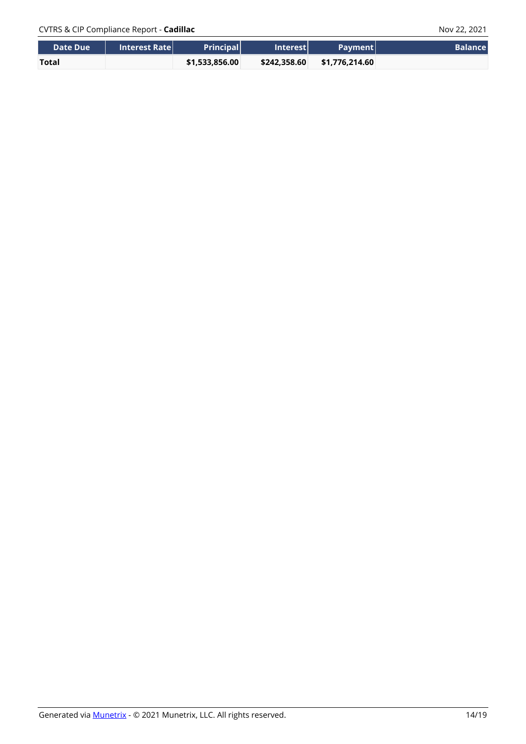| <b>NDate Due</b> \ | <b>Interest Ratel</b> | <b>Principall</b> | <b>Interestl</b> | <b>Payment</b> | <b>Balance</b> |
|--------------------|-----------------------|-------------------|------------------|----------------|----------------|
| <b>Total</b>       |                       | \$1,533,856.00    | \$242.358.60     | \$1.776.214.60 |                |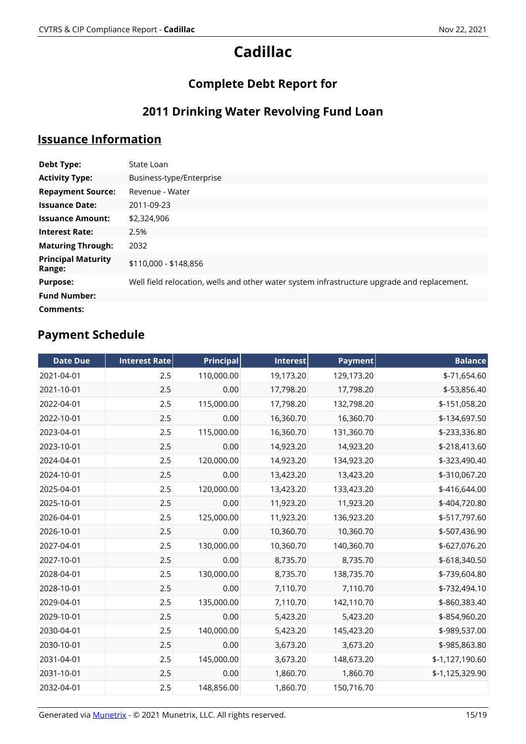# **Complete Debt Report for**

# **2011 Drinking Water Revolving Fund Loan**

# **Issuance Information**

| Debt Type:                          | State Loan                                                                                  |
|-------------------------------------|---------------------------------------------------------------------------------------------|
| <b>Activity Type:</b>               | Business-type/Enterprise                                                                    |
| <b>Repayment Source:</b>            | Revenue - Water                                                                             |
| <b>Issuance Date:</b>               | 2011-09-23                                                                                  |
| <b>Issuance Amount:</b>             | \$2,324,906                                                                                 |
| <b>Interest Rate:</b>               | 2.5%                                                                                        |
| <b>Maturing Through:</b>            | 2032                                                                                        |
| <b>Principal Maturity</b><br>Range: | \$110,000 - \$148,856                                                                       |
| <b>Purpose:</b>                     | Well field relocation, wells and other water system infrastructure upgrade and replacement. |
| <b>Fund Number:</b>                 |                                                                                             |
| Comments:                           |                                                                                             |

| <b>Date Due</b> | <b>Interest Rate</b> | <b>Principal</b> | <b>Interest</b> | <b>Payment</b> | <b>Balance</b>  |
|-----------------|----------------------|------------------|-----------------|----------------|-----------------|
| 2021-04-01      | 2.5                  | 110,000.00       | 19,173.20       | 129,173.20     | \$-71,654.60    |
| 2021-10-01      | 2.5                  | 0.00             | 17,798.20       | 17,798.20      | \$-53,856.40    |
| 2022-04-01      | 2.5                  | 115,000.00       | 17,798.20       | 132,798.20     | \$-151,058.20   |
| 2022-10-01      | 2.5                  | 0.00             | 16,360.70       | 16,360.70      | \$-134,697.50   |
| 2023-04-01      | 2.5                  | 115,000.00       | 16,360.70       | 131,360.70     | \$-233,336.80   |
| 2023-10-01      | 2.5                  | 0.00             | 14,923.20       | 14,923.20      | \$-218,413.60   |
| 2024-04-01      | 2.5                  | 120,000.00       | 14,923.20       | 134,923.20     | \$-323,490.40   |
| 2024-10-01      | 2.5                  | 0.00             | 13,423.20       | 13,423.20      | \$-310,067.20   |
| 2025-04-01      | 2.5                  | 120,000.00       | 13,423.20       | 133,423.20     | \$-416,644.00   |
| 2025-10-01      | 2.5                  | 0.00             | 11,923.20       | 11,923.20      | \$-404,720.80   |
| 2026-04-01      | 2.5                  | 125,000.00       | 11,923.20       | 136,923.20     | \$-517,797.60   |
| 2026-10-01      | 2.5                  | 0.00             | 10,360.70       | 10,360.70      | \$-507,436.90   |
| 2027-04-01      | 2.5                  | 130,000.00       | 10,360.70       | 140,360.70     | \$-627,076.20   |
| 2027-10-01      | 2.5                  | 0.00             | 8,735.70        | 8,735.70       | \$-618,340.50   |
| 2028-04-01      | 2.5                  | 130,000.00       | 8,735.70        | 138,735.70     | \$-739,604.80   |
| 2028-10-01      | 2.5                  | 0.00             | 7,110.70        | 7,110.70       | \$-732,494.10   |
| 2029-04-01      | 2.5                  | 135,000.00       | 7,110.70        | 142,110.70     | \$-860,383.40   |
| 2029-10-01      | 2.5                  | 0.00             | 5,423.20        | 5,423.20       | \$-854,960.20   |
| 2030-04-01      | 2.5                  | 140,000.00       | 5,423.20        | 145,423.20     | \$-989,537.00   |
| 2030-10-01      | 2.5                  | 0.00             | 3,673.20        | 3,673.20       | \$-985,863.80   |
| 2031-04-01      | 2.5                  | 145,000.00       | 3,673.20        | 148,673.20     | \$-1,127,190.60 |
| 2031-10-01      | 2.5                  | 0.00             | 1,860.70        | 1,860.70       | \$-1,125,329.90 |
| 2032-04-01      | 2.5                  | 148,856.00       | 1,860.70        | 150,716.70     |                 |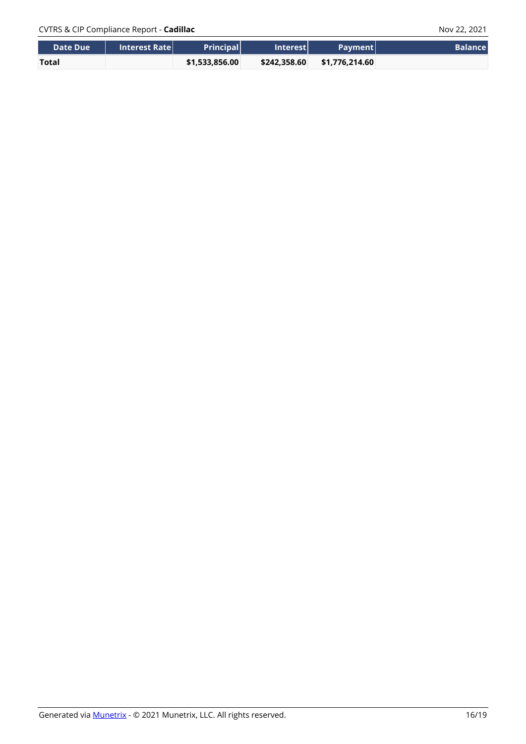| <b>NDate Due</b> \ | <b>Interest Ratel</b> | <b>Principall</b> | <b>Interestl</b> | <b>Payment</b> | <b>Balance</b> |
|--------------------|-----------------------|-------------------|------------------|----------------|----------------|
| <b>Total</b>       |                       | \$1,533,856.00    | \$242.358.60     | \$1.776.214.60 |                |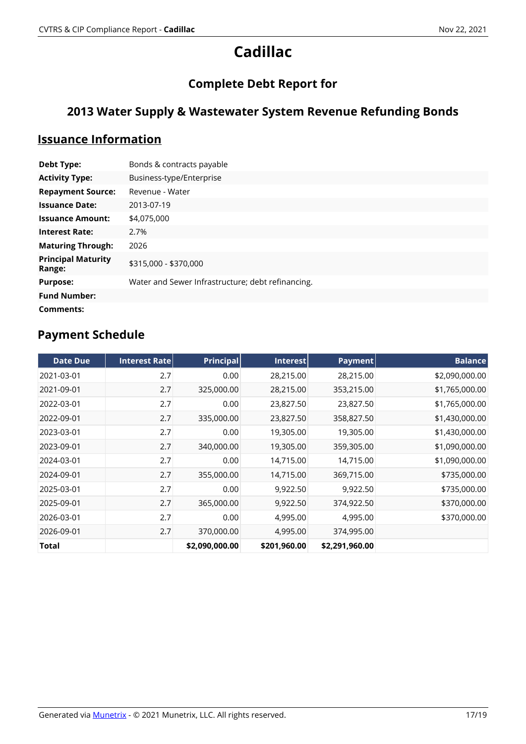# **Complete Debt Report for**

# **2013 Water Supply & Wastewater System Revenue Refunding Bonds**

### **Issuance Information**

| <b>Debt Type:</b>                   | Bonds & contracts payable                         |
|-------------------------------------|---------------------------------------------------|
| <b>Activity Type:</b>               | Business-type/Enterprise                          |
| <b>Repayment Source:</b>            | Revenue - Water                                   |
| <b>Issuance Date:</b>               | 2013-07-19                                        |
| <b>Issuance Amount:</b>             | \$4,075,000                                       |
| <b>Interest Rate:</b>               | 2.7%                                              |
| <b>Maturing Through:</b>            | 2026                                              |
| <b>Principal Maturity</b><br>Range: | \$315,000 - \$370,000                             |
| <b>Purpose:</b>                     | Water and Sewer Infrastructure; debt refinancing. |
| <b>Fund Number:</b>                 |                                                   |
| Comments:                           |                                                   |

| <b>Date Due</b> | Interest Rate | <b>Principal</b> | Interest     | Payment        | <b>Balance</b> |
|-----------------|---------------|------------------|--------------|----------------|----------------|
| 2021-03-01      | 2.7           | 0.00             | 28,215.00    | 28,215.00      | \$2,090,000.00 |
| 2021-09-01      | 2.7           | 325,000.00       | 28,215.00    | 353,215.00     | \$1,765,000.00 |
| 2022-03-01      | 2.7           | 0.00             | 23,827.50    | 23,827.50      | \$1,765,000.00 |
| 2022-09-01      | 2.7           | 335,000.00       | 23,827.50    | 358,827.50     | \$1,430,000.00 |
| 2023-03-01      | 2.7           | 0.00             | 19,305.00    | 19,305.00      | \$1,430,000.00 |
| 2023-09-01      | 2.7           | 340,000.00       | 19,305.00    | 359,305.00     | \$1,090,000.00 |
| 2024-03-01      | 2.7           | 0.00             | 14,715.00    | 14,715.00      | \$1,090,000.00 |
| 2024-09-01      | 2.7           | 355,000.00       | 14,715.00    | 369,715.00     | \$735,000.00   |
| 2025-03-01      | 2.7           | 0.00             | 9,922.50     | 9,922.50       | \$735,000.00   |
| 2025-09-01      | 2.7           | 365,000.00       | 9,922.50     | 374,922.50     | \$370,000.00   |
| 2026-03-01      | 2.7           | 0.00             | 4,995.00     | 4,995.00       | \$370,000.00   |
| 2026-09-01      | 2.7           | 370,000.00       | 4,995.00     | 374,995.00     |                |
| Total           |               | \$2,090,000.00   | \$201,960.00 | \$2,291,960.00 |                |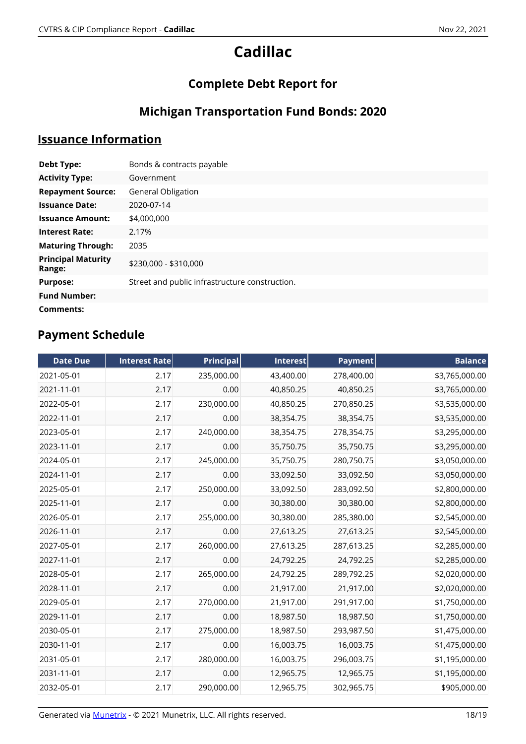# **Complete Debt Report for**

# **Michigan Transportation Fund Bonds: 2020**

### **Issuance Information**

| <b>Debt Type:</b>                   | Bonds & contracts payable                      |
|-------------------------------------|------------------------------------------------|
| <b>Activity Type:</b>               | Government                                     |
| <b>Repayment Source:</b>            | General Obligation                             |
| <b>Issuance Date:</b>               | 2020-07-14                                     |
| <b>Issuance Amount:</b>             | \$4,000,000                                    |
| <b>Interest Rate:</b>               | 2.17%                                          |
| <b>Maturing Through:</b>            | 2035                                           |
| <b>Principal Maturity</b><br>Range: | \$230,000 - \$310,000                          |
| <b>Purpose:</b>                     | Street and public infrastructure construction. |
| <b>Fund Number:</b>                 |                                                |
| Comments:                           |                                                |

| <b>Date Due</b> | <b>Interest Rate</b> | <b>Principal</b> | Interest  | <b>Payment</b> | <b>Balance</b> |
|-----------------|----------------------|------------------|-----------|----------------|----------------|
| 2021-05-01      | 2.17                 | 235,000.00       | 43,400.00 | 278,400.00     | \$3,765,000.00 |
| 2021-11-01      | 2.17                 | 0.00             | 40,850.25 | 40,850.25      | \$3,765,000.00 |
| 2022-05-01      | 2.17                 | 230,000.00       | 40,850.25 | 270,850.25     | \$3,535,000.00 |
| 2022-11-01      | 2.17                 | 0.00             | 38,354.75 | 38,354.75      | \$3,535,000.00 |
| 2023-05-01      | 2.17                 | 240,000.00       | 38,354.75 | 278,354.75     | \$3,295,000.00 |
| 2023-11-01      | 2.17                 | 0.00             | 35,750.75 | 35,750.75      | \$3,295,000.00 |
| 2024-05-01      | 2.17                 | 245,000.00       | 35,750.75 | 280,750.75     | \$3,050,000.00 |
| 2024-11-01      | 2.17                 | 0.00             | 33,092.50 | 33,092.50      | \$3,050,000.00 |
| 2025-05-01      | 2.17                 | 250,000.00       | 33,092.50 | 283,092.50     | \$2,800,000.00 |
| 2025-11-01      | 2.17                 | 0.00             | 30,380.00 | 30,380.00      | \$2,800,000.00 |
| 2026-05-01      | 2.17                 | 255,000.00       | 30,380.00 | 285,380.00     | \$2,545,000.00 |
| 2026-11-01      | 2.17                 | 0.00             | 27,613.25 | 27,613.25      | \$2,545,000.00 |
| 2027-05-01      | 2.17                 | 260,000.00       | 27,613.25 | 287,613.25     | \$2,285,000.00 |
| 2027-11-01      | 2.17                 | 0.00             | 24,792.25 | 24,792.25      | \$2,285,000.00 |
| 2028-05-01      | 2.17                 | 265,000.00       | 24,792.25 | 289,792.25     | \$2,020,000.00 |
| 2028-11-01      | 2.17                 | 0.00             | 21,917.00 | 21,917.00      | \$2,020,000.00 |
| 2029-05-01      | 2.17                 | 270,000.00       | 21,917.00 | 291,917.00     | \$1,750,000.00 |
| 2029-11-01      | 2.17                 | 0.00             | 18,987.50 | 18,987.50      | \$1,750,000.00 |
| 2030-05-01      | 2.17                 | 275,000.00       | 18,987.50 | 293,987.50     | \$1,475,000.00 |
| 2030-11-01      | 2.17                 | 0.00             | 16,003.75 | 16,003.75      | \$1,475,000.00 |
| 2031-05-01      | 2.17                 | 280,000.00       | 16,003.75 | 296,003.75     | \$1,195,000.00 |
| 2031-11-01      | 2.17                 | 0.00             | 12,965.75 | 12,965.75      | \$1,195,000.00 |
| 2032-05-01      | 2.17                 | 290,000.00       | 12,965.75 | 302,965.75     | \$905,000.00   |